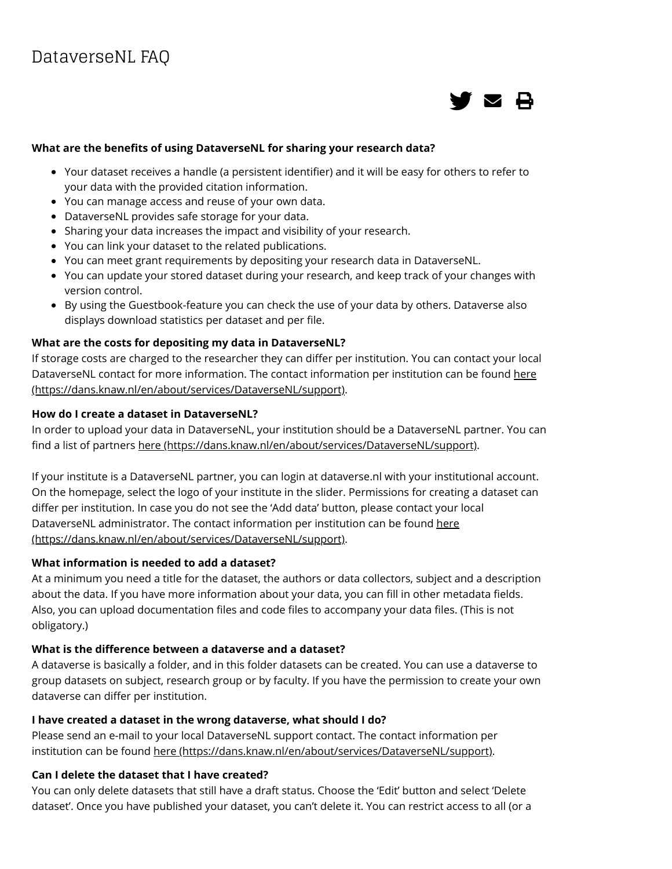

### **What are the benefits of using DataverseNL for sharing your research data?**

- Your dataset receives a handle (a persistent identifier) and it will be easy for others to refer to your data with the provided citation information.
- You can manage access and reuse of your own data.
- DataverseNL provides safe storage for your data.
- Sharing your data increases the impact and visibility of your research.
- You can link your dataset to the related publications.
- You can meet grant requirements by depositing your research data in DataverseNL.
- You can update your stored dataset during your research, and keep track of your changes with version control.
- By using the Guestbook-feature you can check the use of your data by others. Dataverse also displays download statistics per dataset and per file.

### **What are the costs for depositing my data in DataverseNL?**

If storage costs are charged to the researcher they can differ per institution. You can contact your local [DataverseNL contact for more information. The contact information per institution can be found here](https://dans.knaw.nl/en/about/services/DataverseNL/support) (https://dans.knaw.nl/en/about/services/DataverseNL/support).

#### **How do I create a dataset in DataverseNL?**

In order to upload your data in DataverseNL, your institution should be a DataverseNL partner. You can find a list of partners [here \(https://dans.knaw.nl/en/about/services/DataverseNL/support\).](https://dans.knaw.nl/en/about/services/DataverseNL/support)

If your institute is a DataverseNL partner, you can login at dataverse.nl with your institutional account. On the homepage, select the logo of your institute in the slider. Permissions for creating a dataset can differ per institution. In case you do not see the 'Add data' button, please contact your local [DataverseNL administrator. The contact information per institution can be found here](https://dans.knaw.nl/en/about/services/DataverseNL/support) (https://dans.knaw.nl/en/about/services/DataverseNL/support).

### **What information is needed to add a dataset?**

At a minimum you need a title for the dataset, the authors or data collectors, subject and a description about the data. If you have more information about your data, you can fill in other metadata fields. Also, you can upload documentation files and code files to accompany your data files. (This is not obligatory.)

### What is the difference between a dataverse and a dataset?

A dataverse is basically a folder, and in this folder datasets can be created. You can use a dataverse to group datasets on subject, research group or by faculty. If you have the permission to create your own dataverse can differ per institution.

### **I have created a dataset in the wrong dataverse, what should I do?**

Please send an e-mail to your local DataverseNL support contact. The contact information per institution can be found [here \(https://dans.knaw.nl/en/about/services/DataverseNL/support\).](https://dans.knaw.nl/en/about/services/DataverseNL/support)

### **Can I delete the dataset that I have created?**

You can only delete datasets that still have a draft status. Choose the 'Edit' button and select 'Delete dataset'. Once you have published your dataset, you can't delete it. You can restrict access to all (or a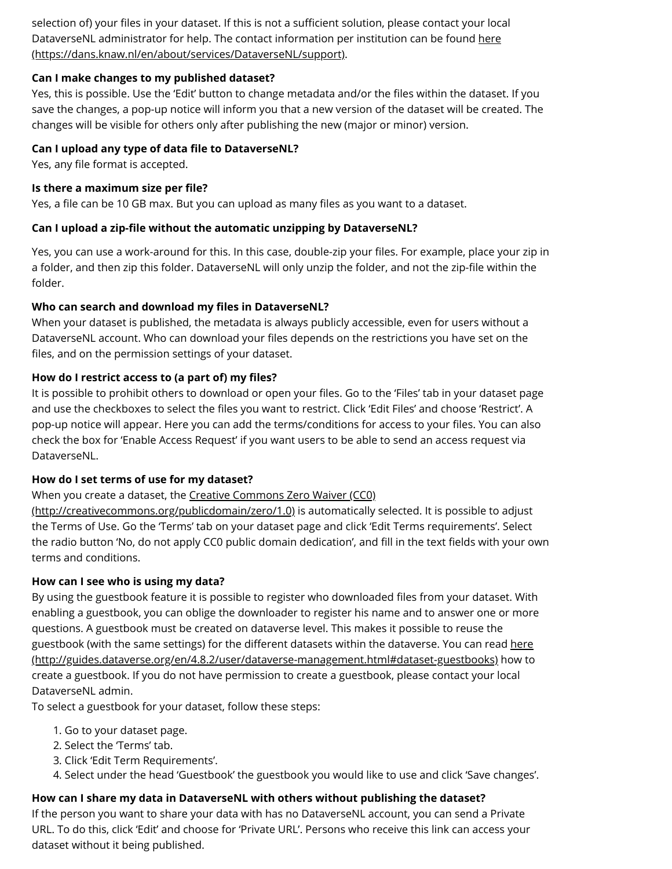selection of) your files in your dataset. If this is not a sufficient solution, please contact your local [DataverseNL administrator for help. The contact information per institution can be found here](https://dans.knaw.nl/en/about/services/DataverseNL/support) (https://dans.knaw.nl/en/about/services/DataverseNL/support).

## **Can I make changes to my published dataset?**

Yes, this is possible. Use the 'Edit' button to change metadata and/or the files within the dataset. If you save the changes, a pop-up notice will inform you that a new version of the dataset will be created. The changes will be visible for others only after publishing the new (major or minor) version.

## **Can I upload any type of data file to DataverseNL?**

Yes, any file format is accepted.

## **Is there a maximum size per file?**

Yes, a file can be 10 GB max. But you can upload as many files as you want to a dataset.

## **Can I upload a zip-file without the automatic unzipping by DataverseNL?**

Yes, you can use a work-around for this. In this case, double-zip your files. For example, place your zip in a folder, and then zip this folder. DataverseNL will only unzip the folder, and not the zip-file within the folder.

## **Who can search and download my files in DataverseNL?**

When your dataset is published, the metadata is always publicly accessible, even for users without a DataverseNL account. Who can download your files depends on the restrictions you have set on the files, and on the permission settings of your dataset.

## How do I restrict access to (a part of) my files?

It is possible to prohibit others to download or open your files. Go to the 'Files' tab in your dataset page and use the checkboxes to select the files you want to restrict. Click 'Edit Files' and choose 'Restrict'. A pop-up notice will appear. Here you can add the terms/conditions for access to your files. You can also check the box for 'Enable Access Request' if you want users to be able to send an access request via DataverseNL.

# **How do I set terms of use for my dataset?**

# [When you create a dataset, the Creative Commons Zero Waiver \(CC0\)](http://creativecommons.org/publicdomain/zero/1.0)

(http://creativecommons.org/publicdomain/zero/1.0) is automatically selected. It is possible to adjust the Terms of Use. Go the 'Terms' tab on your dataset page and click 'Edit Terms requirements'. Select the radio button 'No, do not apply CC0 public domain dedication', and fill in the text fields with your own terms and conditions.

## **How can I see who is using my data?**

By using the guestbook feature it is possible to register who downloaded files from your dataset. With enabling a guestbook, you can oblige the downloader to register his name and to answer one or more questions. A guestbook must be created on dataverse level. This makes it possible to reuse the guestbook (with the same settings) for the different datasets within the dataverse. You can read here (http://guides.dataverse.org/en/4.8.2/user/dataverse-management.html#dataset-guestbooks) how to create a guestbook. If you do not have permission to create a guestbook, please contact your local DataverseNL admin.

To select a guestbook for your dataset, follow these steps:

- 1. Go to your dataset page.
- 2. Select the 'Terms' tab.
- 3. Click 'Edit Term Requirements'.
- 4. Select under the head 'Guestbook' the guestbook you would like to use and click 'Save changes'.

## **How can I share my data in DataverseNL with others without publishing the dataset?**

If the person you want to share your data with has no DataverseNL account, you can send a Private URL. To do this, click 'Edit' and choose for 'Private URL'. Persons who receive this link can access your dataset without it being published.